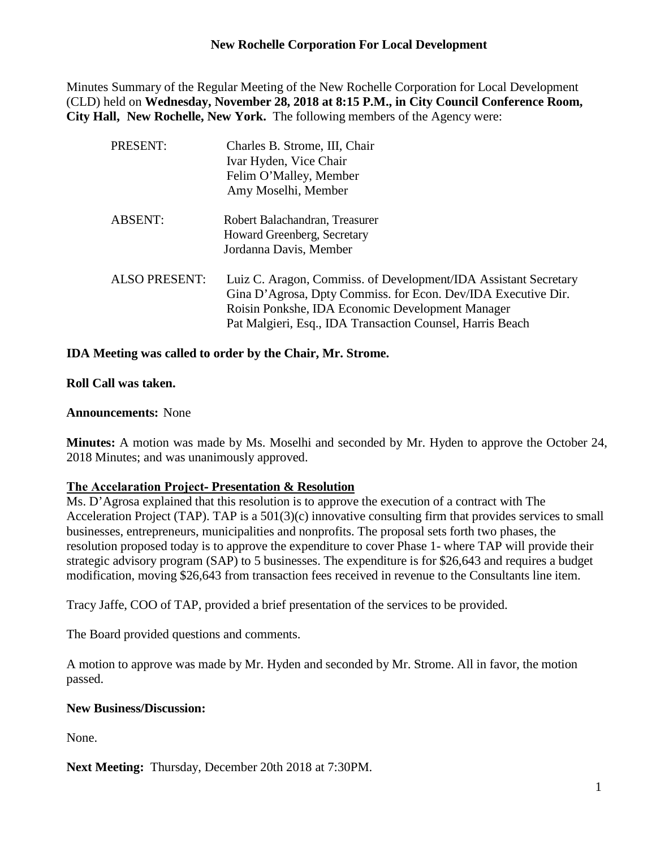Minutes Summary of the Regular Meeting of the New Rochelle Corporation for Local Development (CLD) held on **Wednesday, November 28, 2018 at 8:15 P.M., in City Council Conference Room, City Hall, New Rochelle, New York.** The following members of the Agency were:

| PRESENT:             | Charles B. Strome, III, Chair                                                                                                    |
|----------------------|----------------------------------------------------------------------------------------------------------------------------------|
|                      | Ivar Hyden, Vice Chair                                                                                                           |
|                      | Felim O'Malley, Member                                                                                                           |
|                      | Amy Moselhi, Member                                                                                                              |
| <b>ABSENT:</b>       | Robert Balachandran, Treasurer                                                                                                   |
|                      | Howard Greenberg, Secretary                                                                                                      |
|                      | Jordanna Davis, Member                                                                                                           |
| <b>ALSO PRESENT:</b> | Luiz C. Aragon, Commiss. of Development/IDA Assistant Secretary<br>Gina D'Agrosa, Dpty Commiss. for Econ. Dev/IDA Executive Dir. |
|                      | Roisin Ponkshe, IDA Economic Development Manager                                                                                 |
|                      | Pat Malgieri, Esq., IDA Transaction Counsel, Harris Beach                                                                        |

## **IDA Meeting was called to order by the Chair, Mr. Strome.**

### **Roll Call was taken.**

#### **Announcements:** None

**Minutes:** A motion was made by Ms. Moselhi and seconded by Mr. Hyden to approve the October 24, 2018 Minutes; and was unanimously approved.

### **The Accelaration Project- Presentation & Resolution**

Ms. D'Agrosa explained that this resolution is to approve the execution of a contract with The Acceleration Project (TAP). TAP is a 501(3)(c) innovative consulting firm that provides services to small businesses, entrepreneurs, municipalities and nonprofits. The proposal sets forth two phases, the resolution proposed today is to approve the expenditure to cover Phase 1- where TAP will provide their strategic advisory program (SAP) to 5 businesses. The expenditure is for \$26,643 and requires a budget modification, moving \$26,643 from transaction fees received in revenue to the Consultants line item.

Tracy Jaffe, COO of TAP, provided a brief presentation of the services to be provided.

The Board provided questions and comments.

A motion to approve was made by Mr. Hyden and seconded by Mr. Strome. All in favor, the motion passed.

#### **New Business/Discussion:**

None.

**Next Meeting:** Thursday, December 20th 2018 at 7:30PM.